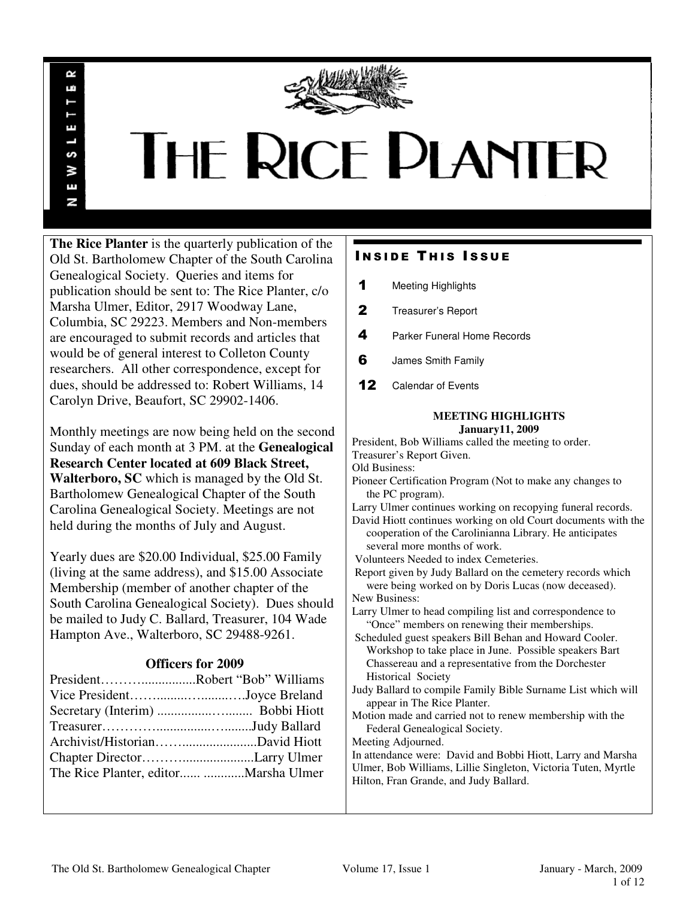

# **THE RICE PLANTER**

**The Rice Planter** is the quarterly publication of the Old St. Bartholomew Chapter of the South Carolina Genealogical Society. Queries and items for publication should be sent to: The Rice Planter, c/o Marsha Ulmer, Editor, 2917 Woodway Lane, Columbia, SC 29223. Members and Non-members are encouraged to submit records and articles that would be of general interest to Colleton County researchers. All other correspondence, except for dues, should be addressed to: Robert Williams, 14 Carolyn Drive, Beaufort, SC 29902-1406.

R uń

П

S š Ŧ N

Monthly meetings are now being held on the second Sunday of each month at 3 PM. at the **Genealogical Research Center located at 609 Black Street, Walterboro, SC** which is managed by the Old St. Bartholomew Genealogical Chapter of the South Carolina Genealogical Society. Meetings are not held during the months of July and August.

Yearly dues are \$20.00 Individual, \$25.00 Family (living at the same address), and \$15.00 Associate Membership (member of another chapter of the South Carolina Genealogical Society). Dues should be mailed to Judy C. Ballard, Treasurer, 104 Wade Hampton Ave., Walterboro, SC 29488-9261.

### **Officers for 2009**

| PresidentRobert "Bob" Williams |  |
|--------------------------------|--|
| Vice PresidentJoyce Breland    |  |
|                                |  |
|                                |  |
|                                |  |
|                                |  |
|                                |  |

### **INSIDE THIS ISSUE**

- 1 Meeting Highlights
- 2 Treasurer's Report
- 4 Parker Funeral Home Records
- **6** James Smith Family
- 12 Calendar of Events

## **MEETING HIGHLIGHTS**

**January11, 2009**  President, Bob Williams called the meeting to order. Treasurer's Report Given. Old Business: Pioneer Certification Program (Not to make any changes to the PC program). Larry Ulmer continues working on recopying funeral records. David Hiott continues working on old Court documents with the cooperation of the Carolinianna Library. He anticipates several more months of work. Volunteers Needed to index Cemeteries. Report given by Judy Ballard on the cemetery records which were being worked on by Doris Lucas (now deceased). New Business: Larry Ulmer to head compiling list and correspondence to "Once" members on renewing their memberships. Scheduled guest speakers Bill Behan and Howard Cooler. Workshop to take place in June. Possible speakers Bart Chassereau and a representative from the Dorchester Historical Society Judy Ballard to compile Family Bible Surname List which will appear in The Rice Planter. Motion made and carried not to renew membership with the

 Federal Genealogical Society. Meeting Adjourned.

In attendance were: David and Bobbi Hiott, Larry and Marsha Ulmer, Bob Williams, Lillie Singleton, Victoria Tuten, Myrtle Hilton, Fran Grande, and Judy Ballard.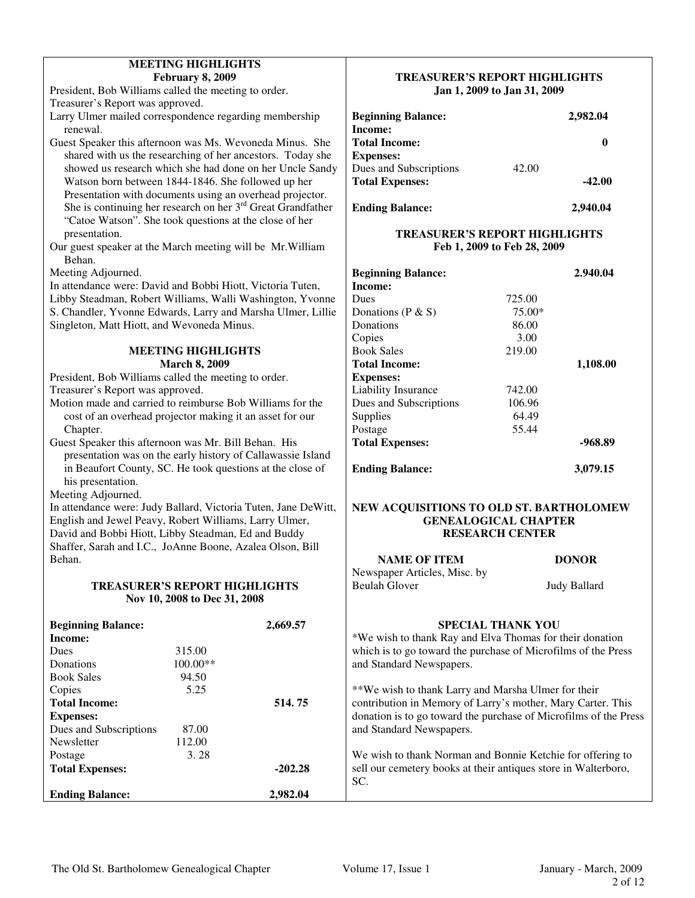| <b>February 8, 2009</b>                                             |          | <b>TREASURER'S REPORT HIGHLIGHTS</b>                             |                             |              |
|---------------------------------------------------------------------|----------|------------------------------------------------------------------|-----------------------------|--------------|
| President, Bob Williams called the meeting to order.                |          |                                                                  | Jan 1, 2009 to Jan 31, 2009 |              |
| Treasurer's Report was approved.                                    |          |                                                                  |                             |              |
| Larry Ulmer mailed correspondence regarding membership              |          | <b>Beginning Balance:</b>                                        |                             | 2,982.04     |
| renewal.                                                            |          | Income:                                                          |                             |              |
| Guest Speaker this afternoon was Ms. Wevoneda Minus. She            |          | <b>Total Income:</b>                                             |                             | $\bf{0}$     |
| shared with us the researching of her ancestors. Today she          |          | <b>Expenses:</b>                                                 |                             |              |
| showed us research which she had done on her Uncle Sandy            |          | Dues and Subscriptions                                           | 42.00                       |              |
| Watson born between 1844-1846. She followed up her                  |          | <b>Total Expenses:</b>                                           |                             | $-42.00$     |
| Presentation with documents using an overhead projector.            |          |                                                                  |                             |              |
| She is continuing her research on her $3rd$ Great Grandfather       |          | <b>Ending Balance:</b>                                           |                             | 2,940.04     |
| "Catoe Watson". She took questions at the close of her              |          |                                                                  |                             |              |
| presentation.                                                       |          | <b>TREASURER'S REPORT HIGHLIGHTS</b>                             |                             |              |
| Our guest speaker at the March meeting will be Mr. William          |          | Feb 1, 2009 to Feb 28, 2009                                      |                             |              |
| Behan.                                                              |          |                                                                  |                             |              |
| Meeting Adjourned.                                                  |          | <b>Beginning Balance:</b>                                        |                             | 2.940.04     |
| In attendance were: David and Bobbi Hiott, Victoria Tuten,          |          | Income:                                                          |                             |              |
| Libby Steadman, Robert Williams, Walli Washington, Yvonne           |          | Dues                                                             | 725.00                      |              |
| S. Chandler, Yvonne Edwards, Larry and Marsha Ulmer, Lillie         |          | Donations ( $P & S$ )                                            | 75.00*                      |              |
| Singleton, Matt Hiott, and Wevoneda Minus.                          |          | Donations                                                        | 86.00                       |              |
|                                                                     |          | Copies                                                           | 3.00                        |              |
| <b>MEETING HIGHLIGHTS</b>                                           |          | <b>Book Sales</b>                                                | 219.00                      |              |
| <b>March 8, 2009</b>                                                |          | <b>Total Income:</b>                                             |                             | 1,108.00     |
| President, Bob Williams called the meeting to order.                |          | <b>Expenses:</b>                                                 |                             |              |
| Treasurer's Report was approved.                                    |          | Liability Insurance                                              | 742.00                      |              |
| Motion made and carried to reimburse Bob Williams for the           |          | Dues and Subscriptions                                           | 106.96                      |              |
| cost of an overhead projector making it an asset for our            |          | Supplies                                                         | 64.49                       |              |
| Chapter.                                                            |          | Postage                                                          | 55.44                       |              |
| Guest Speaker this afternoon was Mr. Bill Behan. His                |          | <b>Total Expenses:</b>                                           |                             | $-968.89$    |
| presentation was on the early history of Callawassie Island         |          |                                                                  |                             |              |
| in Beaufort County, SC. He took questions at the close of           |          | <b>Ending Balance:</b>                                           |                             | 3,079.15     |
| his presentation.                                                   |          |                                                                  |                             |              |
| Meeting Adjourned.                                                  |          |                                                                  |                             |              |
| In attendance were: Judy Ballard, Victoria Tuten, Jane DeWitt,      |          | NEW ACQUISITIONS TO OLD ST. BARTHOLOMEW                          |                             |              |
| English and Jewel Peavy, Robert Williams, Larry Ulmer,              |          |                                                                  | <b>GENEALOGICAL CHAPTER</b> |              |
| David and Bobbi Hiott, Libby Steadman, Ed and Buddy                 |          |                                                                  | <b>RESEARCH CENTER</b>      |              |
| Shaffer, Sarah and I.C., JoAnne Boone, Azalea Olson, Bill<br>Behan. |          |                                                                  |                             |              |
|                                                                     |          | <b>NAME OF ITEM</b>                                              |                             | <b>DONOR</b> |
| <b>TREASURER'S REPORT HIGHLIGHTS</b>                                |          | Newspaper Articles, Misc. by<br><b>Beulah Glover</b>             |                             | Judy Ballard |
|                                                                     |          |                                                                  |                             |              |
| Nov 10, 2008 to Dec 31, 2008                                        |          |                                                                  |                             |              |
| <b>Beginning Balance:</b>                                           | 2,669.57 |                                                                  | <b>SPECIAL THANK YOU</b>    |              |
| Income:                                                             |          | *We wish to thank Ray and Elva Thomas for their donation         |                             |              |
| 315.00<br>Dues                                                      |          | which is to go toward the purchase of Microfilms of the Press    |                             |              |
| Donations<br>100.00**                                               |          | and Standard Newspapers.                                         |                             |              |
| <b>Book Sales</b><br>94.50                                          |          |                                                                  |                             |              |
| 5.25<br>Copies                                                      |          | ** We wish to thank Larry and Marsha Ulmer for their             |                             |              |
| <b>Total Income:</b>                                                | 514.75   | contribution in Memory of Larry's mother, Mary Carter. This      |                             |              |
| <b>Expenses:</b>                                                    |          | donation is to go toward the purchase of Microfilms of the Press |                             |              |

We wish to thank Norman and Bonnie Ketchie for offering to sell our cemetery books at their antiques store in Walterboro, SC.

Total Expenses:  $-202.28$ 

**Ending Balance: 2,982.04** 

Dues and Subscriptions 87.00 Newsletter 112.00<br>Postage 3.28

Postage

**MEETING HIGHLIGHTS** 

and Standard Newspapers.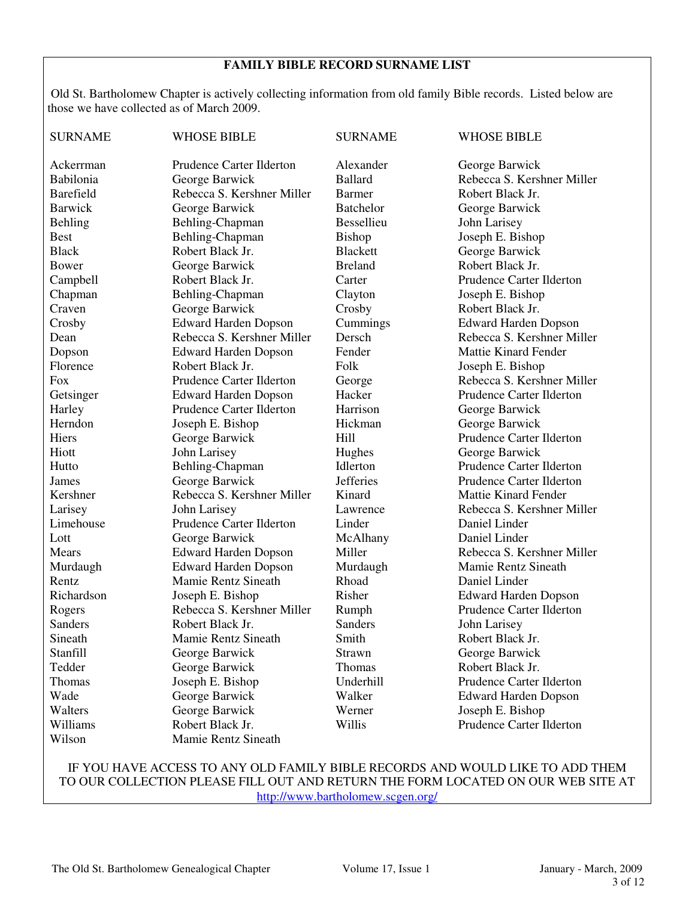### **FAMILY BIBLE RECORD SURNAME LIST**

Old St. Bartholomew Chapter is actively collecting information from old family Bible records. Listed below are those we have collected as of March 2009.

| <b>SURNAME</b>   | <b>WHOSE BIBLE</b>          | <b>SURNAME</b>   | <b>WHOSE BIBLE</b>          |  |
|------------------|-----------------------------|------------------|-----------------------------|--|
| Ackerrman        | Prudence Carter Ilderton    | Alexander        | George Barwick              |  |
| Babilonia        | George Barwick              | <b>Ballard</b>   | Rebecca S. Kershner Miller  |  |
| <b>Barefield</b> | Rebecca S. Kershner Miller  | <b>Barmer</b>    | Robert Black Jr.            |  |
| <b>Barwick</b>   | George Barwick              | <b>Batchelor</b> | George Barwick              |  |
| <b>Behling</b>   | Behling-Chapman             | Bessellieu       | John Larisey                |  |
| <b>Best</b>      | Behling-Chapman             | <b>Bishop</b>    | Joseph E. Bishop            |  |
| <b>Black</b>     | Robert Black Jr.            | <b>Blackett</b>  | George Barwick              |  |
| Bower            | George Barwick              | <b>Breland</b>   | Robert Black Jr.            |  |
| Campbell         | Robert Black Jr.            | Carter           | Prudence Carter Ilderton    |  |
| Chapman          | Behling-Chapman             | Clayton          | Joseph E. Bishop            |  |
| Craven           | George Barwick              | Crosby           | Robert Black Jr.            |  |
| Crosby           | <b>Edward Harden Dopson</b> | Cummings         | <b>Edward Harden Dopson</b> |  |
| Dean             | Rebecca S. Kershner Miller  | Dersch           | Rebecca S. Kershner Miller  |  |
| Dopson           | <b>Edward Harden Dopson</b> | Fender           | <b>Mattie Kinard Fender</b> |  |
| Florence         | Robert Black Jr.            | Folk             | Joseph E. Bishop            |  |
| Fox              | Prudence Carter Ilderton    | George           | Rebecca S. Kershner Miller  |  |
| Getsinger        | <b>Edward Harden Dopson</b> | Hacker           | Prudence Carter Ilderton    |  |
| Harley           | Prudence Carter Ilderton    | Harrison         | George Barwick              |  |
| Herndon          | Joseph E. Bishop            | Hickman          | George Barwick              |  |
| Hiers            | George Barwick              | Hill             | Prudence Carter Ilderton    |  |
| Hiott            | John Larisey                | Hughes           | George Barwick              |  |
| Hutto            | Behling-Chapman             | Idlerton         | Prudence Carter Ilderton    |  |
| James            | George Barwick              | <b>Jefferies</b> | Prudence Carter Ilderton    |  |
| Kershner         | Rebecca S. Kershner Miller  | Kinard           | <b>Mattie Kinard Fender</b> |  |
| Larisey          | John Larisey                | Lawrence         | Rebecca S. Kershner Miller  |  |
| Limehouse        | Prudence Carter Ilderton    | Linder           | Daniel Linder               |  |
| Lott             | George Barwick              | McAlhany         | Daniel Linder               |  |
| Mears            | <b>Edward Harden Dopson</b> | Miller           | Rebecca S. Kershner Miller  |  |
| Murdaugh         | <b>Edward Harden Dopson</b> | Murdaugh         | <b>Mamie Rentz Sineath</b>  |  |
| Rentz            | Mamie Rentz Sineath         | Rhoad            | Daniel Linder               |  |
| Richardson       | Joseph E. Bishop            | Risher           | <b>Edward Harden Dopson</b> |  |
| Rogers           | Rebecca S. Kershner Miller  | Rumph            | Prudence Carter Ilderton    |  |
| Sanders          | Robert Black Jr.            | Sanders          | John Larisey                |  |
| Sineath          | Mamie Rentz Sineath         | Smith            | Robert Black Jr.            |  |
| Stanfill         | George Barwick              | Strawn           | George Barwick              |  |
| Tedder           | George Barwick              | Thomas           | Robert Black Jr.            |  |
| <b>Thomas</b>    | Joseph E. Bishop            | Underhill        | Prudence Carter Ilderton    |  |
| Wade             | George Barwick              | Walker           | <b>Edward Harden Dopson</b> |  |
| Walters          | George Barwick              | Werner           | Joseph E. Bishop            |  |
| Williams         | Robert Black Jr.            | Willis           | Prudence Carter Ilderton    |  |
| Wilson           | Mamie Rentz Sineath         |                  |                             |  |

### IF YOU HAVE ACCESS TO ANY OLD FAMILY BIBLE RECORDS AND WOULD LIKE TO ADD THEM TO OUR COLLECTION PLEASE FILL OUT AND RETURN THE FORM LOCATED ON OUR WEB SITE AT http://www.bartholomew.scgen.org/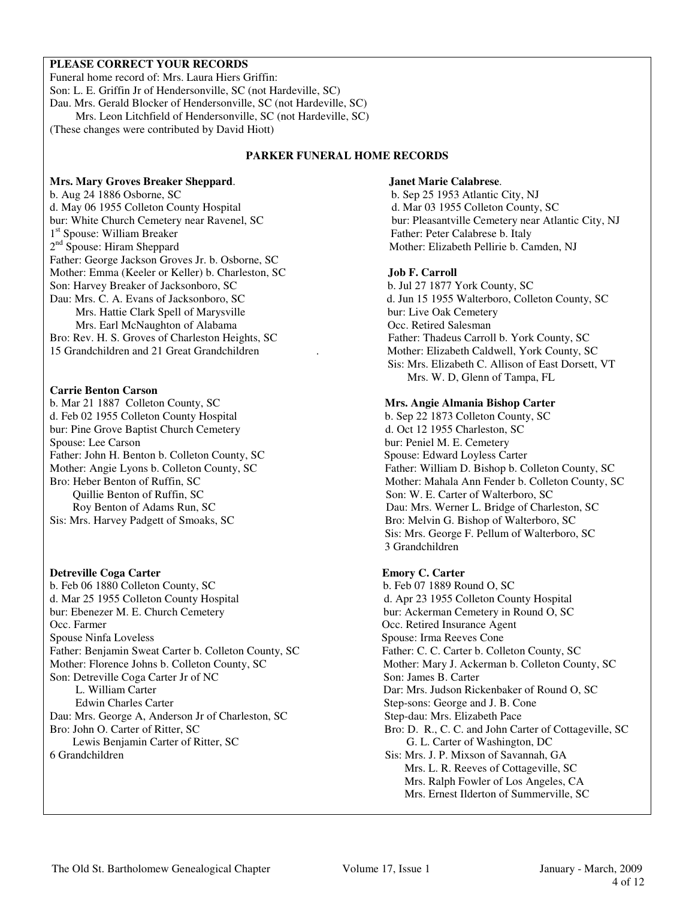### **PLEASE CORRECT YOUR RECORDS**

Funeral home record of: Mrs. Laura Hiers Griffin: Son: L. E. Griffin Jr of Hendersonville, SC (not Hardeville, SC) Dau. Mrs. Gerald Blocker of Hendersonville, SC (not Hardeville, SC) Mrs. Leon Litchfield of Hendersonville, SC (not Hardeville, SC) (These changes were contributed by David Hiott)

### **PARKER FUNERAL HOME RECORDS**

### **Mrs. Mary Groves Breaker Sheppard**. **Janet Marie Calabrese**.

b. Aug 24 1886 Osborne, SC b. Sep 25 1953 Atlantic City, NJ<br>d. May 06 1955 Colleton County Hospital degree and degree and degree and degree and degree and degree and degree d. May 06 1955 Colleton County Hospital bur: White Church Cemetery near Ravenel, SC bur: Pleasantville Cemetery near Atlantic City, NJ 1<sup>st</sup> Spouse: William Breaker 2<sup>nd</sup> Spouse: Hiram Sheppard Father: George Jackson Groves Jr. b. Osborne, SC Mother: Emma (Keeler or Keller) b. Charleston, SC **Job F. Carroll** Son: Harvey Breaker of Jacksonboro, SC b. Jul 27 1877 York County, SC Dau: Mrs. C. A. Evans of Jacksonboro, SC d. Jun 15 1955 Walterboro, Colleton County, SC Mrs. Hattie Clark Spell of Marysville bur: Live Oak Cemetery Mrs. Earl McNaughton of Alabama Occ. Retired Salesman Bro: Rev. H. S. Groves of Charleston Heights, SC Father: Thadeus Carroll b. York County, SC 15 Grandchildren and 21 Great Grandchildren . Mother: Elizabeth Caldwell, York County, SC

### **Carrie Benton Carson**

b. Mar 21 1887 Colleton County, SC **Mrs. Angie Almania Bishop Carter** d. Feb 02 1955 Colleton County Hospital b. Sep 22 1873 Colleton County, SC bur: Pine Grove Baptist Church Cemetery d. Oct 12 1955 Charleston, SC Spouse: Lee Carson bur: Peniel M. E. Cemetery Father: John H. Benton b. Colleton County, SC Spouse: Edward Loyless Carter Quillie Benton of Ruffin, SC Son: W. E. Carter of Walterboro, SC Sis: Mrs. Harvey Padgett of Smoaks, SC Bro: Melvin G. Bishop of Walterboro, SC

**Detreville Coga Carter 6. Feb 06 1880 Colleton County, SC Emory C. Carter b. Feb 06 1880 Colleton County, SC b. Feb 07 1889 Round O, SC** b. Feb 06 1880 Colleton County, SC d. Mar 25 1955 Colleton County Hospital d. Apr 23 1955 Colleton County Hospital bur: Ebenezer M. E. Church Cemetery bur: Ackerman Cemetery in Round O, SC Occ. Farmer Occ. Retired Insurance Agent Spouse Ninfa Loveless Spouse: Irma Reeves Cone Father: Benjamin Sweat Carter b. Colleton County, SC Father: C. C. Carter b. Colleton County, SC Mother: Florence Johns b. Colleton County, SC Mother: Mary J. Ackerman b. Colleton County, SC Son: Detreville Coga Carter Jr of NC Son: James B. Carter L. William Carter Dar: Mrs. Judson Rickenbaker of Round O, SC Edwin Charles Carter Step-sons: George and J. B. Cone Dau: Mrs. George A, Anderson Jr of Charleston, SC Step-dau: Mrs. Elizabeth Pace

Lewis Benjamin Carter of Ritter, SC 6. L. Carter of Washington, DC 6. Grandchildren Sis: Mrs. J. P. Mixson of Savannah.

Father: Peter Calabrese b. Italy Mother: Elizabeth Pellirie b. Camden, NJ

 Sis: Mrs. Elizabeth C. Allison of East Dorsett, VT Mrs. W. D, Glenn of Tampa, FL

bur: Peniel M. E. Cemetery Mother: Angie Lyons b. Colleton County, SC<br>Bro: Heber Benton of Ruffin, SC<br>Mother: Mahala Ann Fender b. Colleton County, S Mother: Mahala Ann Fender b. Colleton County, SC Roy Benton of Adams Run, SC Dau: Mrs. Werner L. Bridge of Charleston, SC Sis: Mrs. George F. Pellum of Walterboro, SC 3 Grandchildren

Bro: D. R., C. C. and John Carter of Cottageville, SC Bro: D. R., C. C. and John Carter of Cottageville, SC Sis: Mrs. J. P. Mixson of Savannah, GA Mrs. L. R. Reeves of Cottageville, SC Mrs. Ralph Fowler of Los Angeles, CA Mrs. Ernest Ilderton of Summerville, SC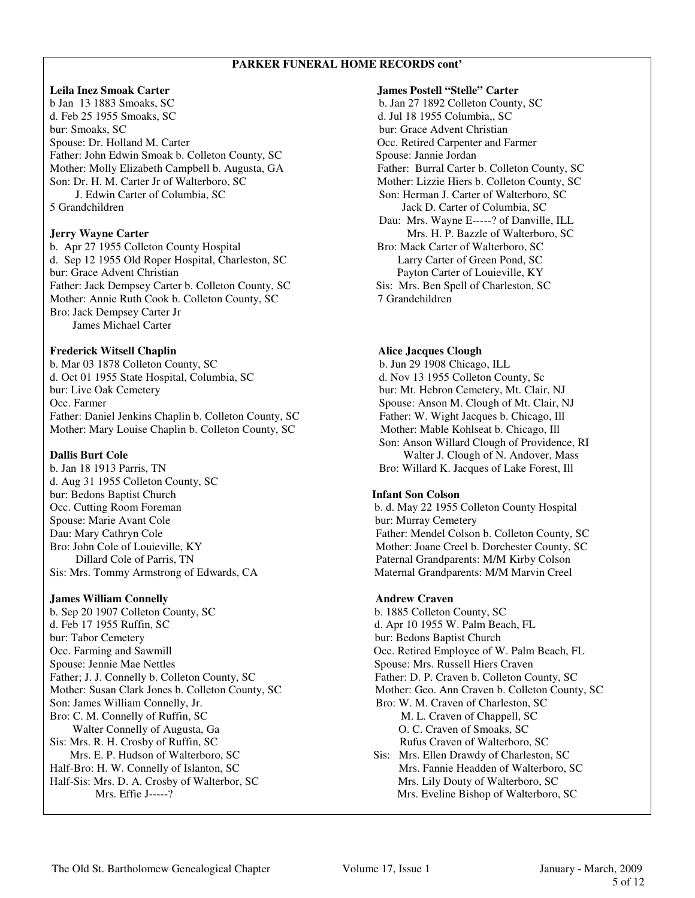### **PARKER FUNERAL HOME RECORDS cont'**

b Jan 13 1883 Smoaks, SC b. Jan 27 1892 Colleton County, SC d. Feb 25 1955 Smoaks, SC d. Jul 18 1955 Columbia,, SC bur: Smoaks, SC bur: Grace Advent Christian Spouse: Dr. Holland M. Carter **Carter Carpenter Conc. Retired Carpenter and Farmer** Occ. Retired Carpenter and Farmer Father: John Edwin Smoak b. Colleton County, SC Spouse: Jannie Jordan Mother: Molly Elizabeth Campbell b. Augusta, GA Father: Burral Carter b. Colleton County, SC Son: Dr. H. M. Carter Jr of Walterboro, SC Mother: Lizzie Hiers b. Colleton County, SC J. Edwin Carter of Columbia, SC Son: Herman J. Carter of Walterboro, SC 5 Grandchildren Jack D. Carter of Columbia, SC

b. Apr 27 1955 Colleton County Hospital Bro: Mack Carter of Walterboro, SC d. Sep 12 1955 Old Roper Hospital, Charleston, SC Larry Carter of Green Pond, SC bur: Grace Advent Christian Payton Carter of Louieville, KY Father: Jack Dempsey Carter b. Colleton County, SC Sis: Mrs. Ben Spell of Charleston, SC Mother: Annie Ruth Cook b. Colleton County, SC 7 Grandchildren Bro: Jack Dempsey Carter Jr James Michael Carter

### **Frederick Witsell Chaplin State Server Alice Jacques Clough Alice Jacques Clough**

b. Mar 03 1878 Colleton County, SC b. Jun 29 1908 Chicago, ILL d. Oct 01 1955 State Hospital, Columbia, SC d. Nov 13 1955 Colleton County, Sc bur: Live Oak Cemetery bur: Mt. Hebron Cemetery, Mt. Clair, NJ Occ. Farmer Spouse: Anson M. Clough of Mt. Clair, NJ Father: Daniel Jenkins Chaplin b. Colleton County, SC Father: W. Wight Jacques b. Chicago, Ill Mother: Mary Louise Chaplin b. Colleton County, SC Mother: Mable Kohlseat b. Chicago, Ill

b. Jan 18 1913 Parris, TN Bro: Willard K. Jacques of Lake Forest, Ill d. Aug 31 1955 Colleton County, SC bur: Bedons Baptist Church **Infant Son Colson** Occ. Cutting Room Foreman b. d. May 22 1955 Colleton County Hospital Spouse: Marie Avant Cole bur: Murray Cemetery

### **James William Connelly Andrew Craven**

b. Sep 20 1907 Colleton County, SC b. 1885 Colleton County, SC d. Feb 17 1955 Ruffin, SC d. Apr 10 1955 W. Palm Beach, FL bur: Tabor Cemetery bur: Bedons Baptist Church Occ. Farming and Sawmill Occ. Retired Employee of W. Palm Beach, FL Spouse: Jennie Mae Nettles Spouse: Mrs. Russell Hiers Craven Father; J. J. Connelly b. Colleton County, SC Father: D. P. Craven b. Colleton County, SC Mother: Susan Clark Jones b. Colleton County, SC Mother: Geo. Ann Craven b. Colleton County, SC Son: James William Connelly, Jr. Bro: W. M. Craven of Charleston, SC Bro: C. M. Connelly of Ruffin, SC M. L. Craven of Chappell, SC Walter Connelly of Augusta, Ga  $\qquad \qquad$  O. C. Craven of Smoaks, SC Sis: Mrs. R. H. Crosby of Ruffin, SC<br>
Mrs. E. P. Hudson of Walterboro, SC<br>
Sis: Mrs. Ellen Drawdy of Charleston Half-Bro: H. W. Connelly of Islanton, SC Mrs. Fannie Headden of Walterboro, SC Half-Sis: Mrs. D. A. Crosby of Walterbor, SC<br>Mrs. Effie J-----?<br>Mrs. Eveline Bishop of Walterboro.

**Leila Inez Smoak Carter James Postell "Stelle" Carter**  Dau: Mrs. Wayne E-----? of Danville, ILL **Jerry Wayne Carter** Mrs. H. P. Bazzle of Walterboro, SC

 Son: Anson Willard Clough of Providence, RI **Dallis Burt Cole** Walter J. Clough of N. Andover, Mass

Dau: Mary Cathryn Cole Father: Mendel Colson b. Colleton County, SC Bro: John Cole of Louieville, KY Mother: Joane Creel b. Dorchester County, SC Dillard Cole of Parris, TN Paternal Grandparents: M/M Kirby Colson Sis: Mrs. Tommy Armstrong of Edwards, CA Maternal Grandparents: M/M Marvin Creel

Sis: Mrs. Ellen Drawdy of Charleston, SC Mrs. Eveline Bishop of Walterboro, SC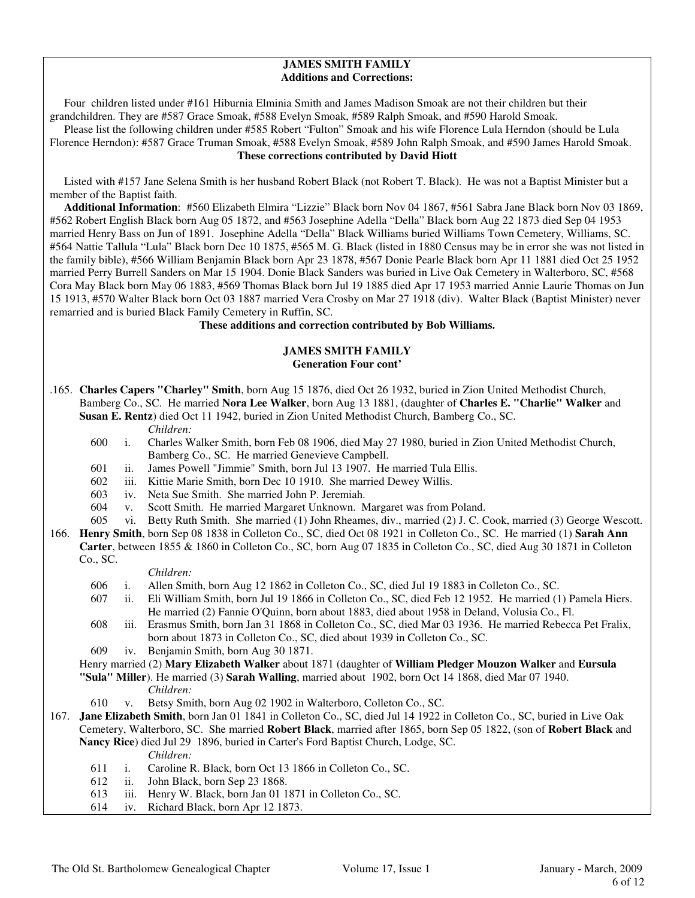### **JAMES SMITH FAMILY Additions and Corrections:**

 Four children listed under #161 Hiburnia Elminia Smith and James Madison Smoak are not their children but their grandchildren. They are #587 Grace Smoak, #588 Evelyn Smoak, #589 Ralph Smoak, and #590 Harold Smoak.

 Please list the following children under #585 Robert "Fulton" Smoak and his wife Florence Lula Herndon (should be Lula Florence Herndon): #587 Grace Truman Smoak, #588 Evelyn Smoak, #589 John Ralph Smoak, and #590 James Harold Smoak. **These corrections contributed by David Hiott** 

Listed with #157 Jane Selena Smith is her husband Robert Black (not Robert T. Black). He was not a Baptist Minister but a member of the Baptist faith.

 **Additional Information**: #560 Elizabeth Elmira "Lizzie" Black born Nov 04 1867, #561 Sabra Jane Black born Nov 03 1869, #562 Robert English Black born Aug 05 1872, and #563 Josephine Adella "Della" Black born Aug 22 1873 died Sep 04 1953 married Henry Bass on Jun of 1891. Josephine Adella "Della" Black Williams buried Williams Town Cemetery, Williams, SC. #564 Nattie Tallula "Lula" Black born Dec 10 1875, #565 M. G. Black (listed in 1880 Census may be in error she was not listed in the family bible), #566 William Benjamin Black born Apr 23 1878, #567 Donie Pearle Black born Apr 11 1881 died Oct 25 1952 married Perry Burrell Sanders on Mar 15 1904. Donie Black Sanders was buried in Live Oak Cemetery in Walterboro, SC, #568 Cora May Black born May 06 1883, #569 Thomas Black born Jul 19 1885 died Apr 17 1953 married Annie Laurie Thomas on Jun 15 1913, #570 Walter Black born Oct 03 1887 married Vera Crosby on Mar 27 1918 (div). Walter Black (Baptist Minister) never remarried and is buried Black Family Cemetery in Ruffin, SC.

### **These additions and correction contributed by Bob Williams.**

### **JAMES SMITH FAMILY Generation Four cont'**

- .165. **Charles Capers "Charley" Smith**, born Aug 15 1876, died Oct 26 1932, buried in Zion United Methodist Church, Bamberg Co., SC. He married **Nora Lee Walker**, born Aug 13 1881, (daughter of **Charles E. "Charlie" Walker** and **Susan E. Rentz**) died Oct 11 1942, buried in Zion United Methodist Church, Bamberg Co., SC.
	- *Children:*<br>600 i. Charles W
	- i. Charles Walker Smith, born Feb 08 1906, died May 27 1980, buried in Zion United Methodist Church, Bamberg Co., SC. He married Genevieve Campbell.
	- 601 ii. James Powell "Jimmie" Smith, born Jul 13 1907. He married Tula Ellis.<br>602 iii. Kittie Marie Smith, born Dec 10 1910. She married Dewey Willis.
	- iii. Kittie Marie Smith, born Dec 10 1910. She married Dewey Willis.
	- 603 iv. Neta Sue Smith. She married John P. Jeremiah.
	- 604 v. Scott Smith. He married Margaret Unknown. Margaret was from Poland.
	- 605 vi. Betty Ruth Smith. She married (1) John Rheames, div., married (2) J. C. Cook, married (3) George Wescott.
- 166. **Henry Smith**, born Sep 08 1838 in Colleton Co., SC, died Oct 08 1921 in Colleton Co., SC. He married (1) **Sarah Ann Carter**, between 1855 & 1860 in Colleton Co., SC, born Aug 07 1835 in Colleton Co., SC, died Aug 30 1871 in Colleton Co., SC.

### *Children:*

- 606 i. Allen Smith, born Aug 12 1862 in Colleton Co., SC, died Jul 19 1883 in Colleton Co., SC.
- 607 ii. Eli William Smith, born Jul 19 1866 in Colleton Co., SC, died Feb 12 1952. He married (1) Pamela Hiers. He married (2) Fannie O'Quinn, born about 1883, died about 1958 in Deland, Volusia Co., Fl.
- 608 iii. Erasmus Smith, born Jan 31 1868 in Colleton Co., SC, died Mar 03 1936. He married Rebecca Pet Fralix, born about 1873 in Colleton Co., SC, died about 1939 in Colleton Co., SC.
- 609 iv. Benjamin Smith, born Aug 30 1871.

 Henry married (2) **Mary Elizabeth Walker** about 1871 (daughter of **William Pledger Mouzon Walker** and **Eursula "Sula" Miller**). He married (3) **Sarah Walling**, married about 1902, born Oct 14 1868, died Mar 07 1940.

- *Children:*
- 610 v. Betsy Smith, born Aug 02 1902 in Walterboro, Colleton Co., SC.
- 167. **Jane Elizabeth Smith**, born Jan 01 1841 in Colleton Co., SC, died Jul 14 1922 in Colleton Co., SC, buried in Live Oak Cemetery, Walterboro, SC. She married **Robert Black**, married after 1865, born Sep 05 1822, (son of **Robert Black** and **Nancy Rice**) died Jul 29 1896, buried in Carter's Ford Baptist Church, Lodge, SC.
	- *Children:*
	- 611 i. Caroline R. Black, born Oct 13 1866 in Colleton Co., SC.
	- 612 ii. John Black, born Sep 23 1868.
	- 613 iii. Henry W. Black, born Jan 01 1871 in Colleton Co., SC.
	- 614 iv. Richard Black, born Apr 12 1873.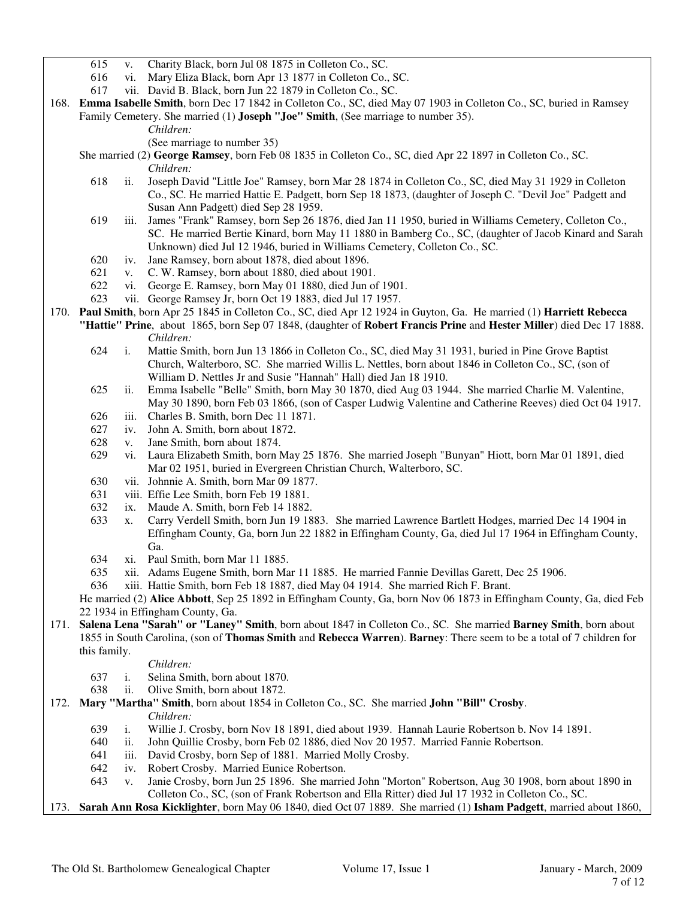- 615 v. Charity Black, born Jul 08 1875 in Colleton Co., SC.
- 616 vi. Mary Eliza Black, born Apr 13 1877 in Colleton Co., SC.
- 617 vii. David B. Black, born Jun 22 1879 in Colleton Co., SC.
- 168. **Emma Isabelle Smith**, born Dec 17 1842 in Colleton Co., SC, died May 07 1903 in Colleton Co., SC, buried in Ramsey Family Cemetery. She married (1) **Joseph "Joe" Smith**, (See marriage to number 35).
	- *Children:*
	- (See marriage to number 35)
	- She married (2) **George Ramsey**, born Feb 08 1835 in Colleton Co., SC, died Apr 22 1897 in Colleton Co., SC. *Children:*
		- 618 ii. Joseph David "Little Joe" Ramsey, born Mar 28 1874 in Colleton Co., SC, died May 31 1929 in Colleton Co., SC. He married Hattie E. Padgett, born Sep 18 1873, (daughter of Joseph C. "Devil Joe" Padgett and Susan Ann Padgett) died Sep 28 1959.
		- 619 iii. James "Frank" Ramsey, born Sep 26 1876, died Jan 11 1950, buried in Williams Cemetery, Colleton Co., SC. He married Bertie Kinard, born May 11 1880 in Bamberg Co., SC, (daughter of Jacob Kinard and Sarah Unknown) died Jul 12 1946, buried in Williams Cemetery, Colleton Co., SC.
		- 620 iv. Jane Ramsey, born about 1878, died about 1896.
		- 621 v. C. W. Ramsey, born about 1880, died about 1901.
		- 622 vi. George E. Ramsey, born May 01 1880, died Jun of 1901.
		- 623 vii. George Ramsey Jr, born Oct 19 1883, died Jul 17 1957.
- 170. **Paul Smith**, born Apr 25 1845 in Colleton Co., SC, died Apr 12 1924 in Guyton, Ga. He married (1) **Harriett Rebecca** 
	- **"Hattie" Prine**, about 1865, born Sep 07 1848, (daughter of **Robert Francis Prine** and **Hester Miller**) died Dec 17 1888. *Children:*
		- 624 i. Mattie Smith, born Jun 13 1866 in Colleton Co., SC, died May 31 1931, buried in Pine Grove Baptist Church, Walterboro, SC. She married Willis L. Nettles, born about 1846 in Colleton Co., SC, (son of William D. Nettles Jr and Susie "Hannah" Hall) died Jan 18 1910.
		- 625 ii. Emma Isabelle "Belle" Smith, born May 30 1870, died Aug 03 1944. She married Charlie M. Valentine, May 30 1890, born Feb 03 1866, (son of Casper Ludwig Valentine and Catherine Reeves) died Oct 04 1917.
		- 626 iii. Charles B. Smith, born Dec 11 1871.
		- 627 iv. John A. Smith, born about 1872.
		- 628 v. Jane Smith, born about 1874.
		- 629 vi. Laura Elizabeth Smith, born May 25 1876. She married Joseph "Bunyan" Hiott, born Mar 01 1891, died Mar 02 1951, buried in Evergreen Christian Church, Walterboro, SC.
		- 630 vii. Johnnie A. Smith, born Mar 09 1877.
		- 631 viii. Effie Lee Smith, born Feb 19 1881.
		- 632 ix. Maude A. Smith, born Feb 14 1882.
		- 633 x. Carry Verdell Smith, born Jun 19 1883. She married Lawrence Bartlett Hodges, married Dec 14 1904 in Effingham County, Ga, born Jun 22 1882 in Effingham County, Ga, died Jul 17 1964 in Effingham County, Ga.
		- 634 xi. Paul Smith, born Mar 11 1885.
		- 635 xii. Adams Eugene Smith, born Mar 11 1885. He married Fannie Devillas Garett, Dec 25 1906.
		- 636 xiii. Hattie Smith, born Feb 18 1887, died May 04 1914. She married Rich F. Brant.

 He married (2) **Alice Abbott**, Sep 25 1892 in Effingham County, Ga, born Nov 06 1873 in Effingham County, Ga, died Feb 22 1934 in Effingham County, Ga.

- 171. **Salena Lena "Sarah" or "Laney" Smith**, born about 1847 in Colleton Co., SC. She married **Barney Smith**, born about 1855 in South Carolina, (son of **Thomas Smith** and **Rebecca Warren**). **Barney**: There seem to be a total of 7 children for this family.
	- *Children:*
	- 637 i. Selina Smith, born about 1870.
	- 638 ii. Olive Smith, born about 1872.
- 172. **Mary "Martha" Smith**, born about 1854 in Colleton Co., SC. She married **John "Bill" Crosby**. *Children:*
	- 639 i. Willie J. Crosby, born Nov 18 1891, died about 1939. Hannah Laurie Robertson b. Nov 14 1891.
	- 640 ii. John Quillie Crosby, born Feb 02 1886, died Nov 20 1957. Married Fannie Robertson.
	- 641 iii. David Crosby, born Sep of 1881. Married Molly Crosby.
	- 642 iv. Robert Crosby. Married Eunice Robertson.
	- 643 v. Janie Crosby, born Jun 25 1896. She married John "Morton" Robertson, Aug 30 1908, born about 1890 in Colleton Co., SC, (son of Frank Robertson and Ella Ritter) died Jul 17 1932 in Colleton Co., SC.
- 173. **Sarah Ann Rosa Kicklighter**, born May 06 1840, died Oct 07 1889. She married (1) **Isham Padgett**, married about 1860,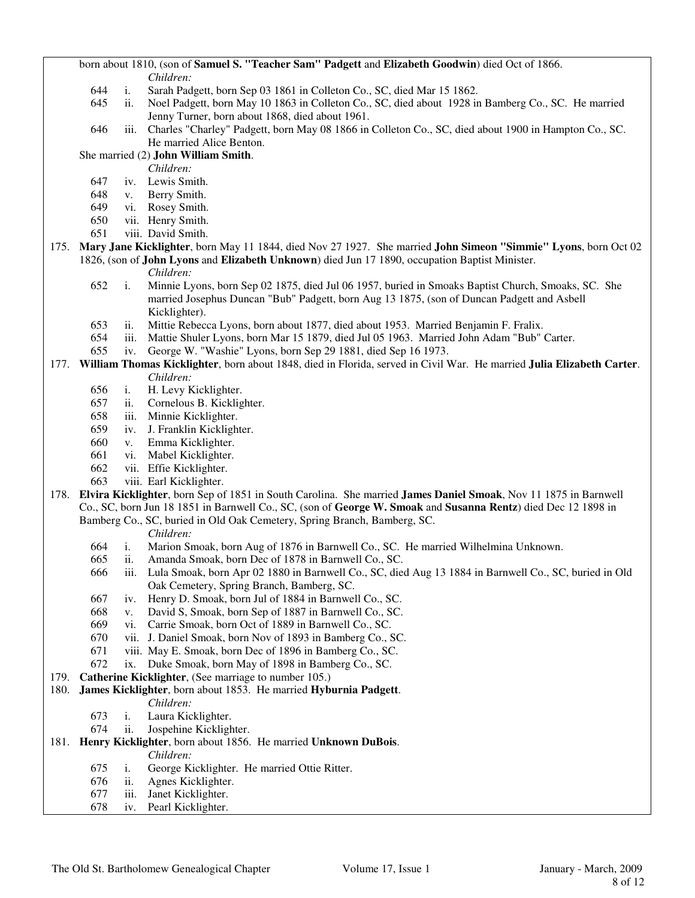born about 1810, (son of **Samuel S. "Teacher Sam" Padgett** and **Elizabeth Goodwin**) died Oct of 1866. *Children:*

- 644 i. Sarah Padgett, born Sep 03 1861 in Colleton Co., SC, died Mar 15 1862.
- 645 ii. Noel Padgett, born May 10 1863 in Colleton Co., SC, died about 1928 in Bamberg Co., SC. He married Jenny Turner, born about 1868, died about 1961.
- 646 iii. Charles "Charley" Padgett, born May 08 1866 in Colleton Co., SC, died about 1900 in Hampton Co., SC. He married Alice Benton.

### She married (2) **John William Smith**.

*Children:*

- 647 iv. Lewis Smith.
- 648 v. Berry Smith.
- 649 vi. Rosey Smith.
- 650 vii. Henry Smith.
- 651 viii. David Smith.
- 175. **Mary Jane Kicklighter**, born May 11 1844, died Nov 27 1927. She married **John Simeon "Simmie" Lyons**, born Oct 02 1826, (son of **John Lyons** and **Elizabeth Unknown**) died Jun 17 1890, occupation Baptist Minister.
	- *Children:*
	- 652 i. Minnie Lyons, born Sep 02 1875, died Jul 06 1957, buried in Smoaks Baptist Church, Smoaks, SC. She married Josephus Duncan "Bub" Padgett, born Aug 13 1875, (son of Duncan Padgett and Asbell Kicklighter).
	- 653 ii. Mittie Rebecca Lyons, born about 1877, died about 1953. Married Benjamin F. Fralix.
	- 654 iii. Mattie Shuler Lyons, born Mar 15 1879, died Jul 05 1963. Married John Adam "Bub" Carter.
	- 655 iv. George W. "Washie" Lyons, born Sep 29 1881, died Sep 16 1973.

### 177. **William Thomas Kicklighter**, born about 1848, died in Florida, served in Civil War. He married **Julia Elizabeth Carter**. *Children:*

- 656 i. H. Levy Kicklighter.
- 657 ii. Cornelous B. Kicklighter.
- 658 iii. Minnie Kicklighter.
- 659 iv. J. Franklin Kicklighter.
- 660 v. Emma Kicklighter.
- 661 vi. Mabel Kicklighter.
- 662 vii. Effie Kicklighter.
- 663 viii. Earl Kicklighter.
- 178. **Elvira Kicklighter**, born Sep of 1851 in South Carolina. She married **James Daniel Smoak**, Nov 11 1875 in Barnwell Co., SC, born Jun 18 1851 in Barnwell Co., SC, (son of **George W. Smoak** and **Susanna Rentz**) died Dec 12 1898 in Bamberg Co., SC, buried in Old Oak Cemetery, Spring Branch, Bamberg, SC.
	- *Children:*
	- 664 i. Marion Smoak, born Aug of 1876 in Barnwell Co., SC. He married Wilhelmina Unknown.
	- 665 ii. Amanda Smoak, born Dec of 1878 in Barnwell Co., SC.
	- 666 iii. Lula Smoak, born Apr 02 1880 in Barnwell Co., SC, died Aug 13 1884 in Barnwell Co., SC, buried in Old Oak Cemetery, Spring Branch, Bamberg, SC.
	- 667 iv. Henry D. Smoak, born Jul of 1884 in Barnwell Co., SC.
	- 668 v. David S, Smoak, born Sep of 1887 in Barnwell Co., SC.
	- 669 vi. Carrie Smoak, born Oct of 1889 in Barnwell Co., SC.
	- 670 vii. J. Daniel Smoak, born Nov of 1893 in Bamberg Co., SC.
	- 671 viii. May E. Smoak, born Dec of 1896 in Bamberg Co., SC.
	- 672 ix. Duke Smoak, born May of 1898 in Bamberg Co., SC.
- 179. **Catherine Kicklighter**, (See marriage to number 105.)
- 180. **James Kicklighter**, born about 1853. He married **Hyburnia Padgett**.
	- *Children:*
	- 673 i. Laura Kicklighter.
	- 674 ii. Jospehine Kicklighter.
- 181. **Henry Kicklighter**, born about 1856. He married **Unknown DuBois**.
	- *Children:*
	- 675 i. George Kicklighter. He married Ottie Ritter.
	- 676 ii. Agnes Kicklighter.
	- 677 iii. Janet Kicklighter.
	- 678 iv. Pearl Kicklighter.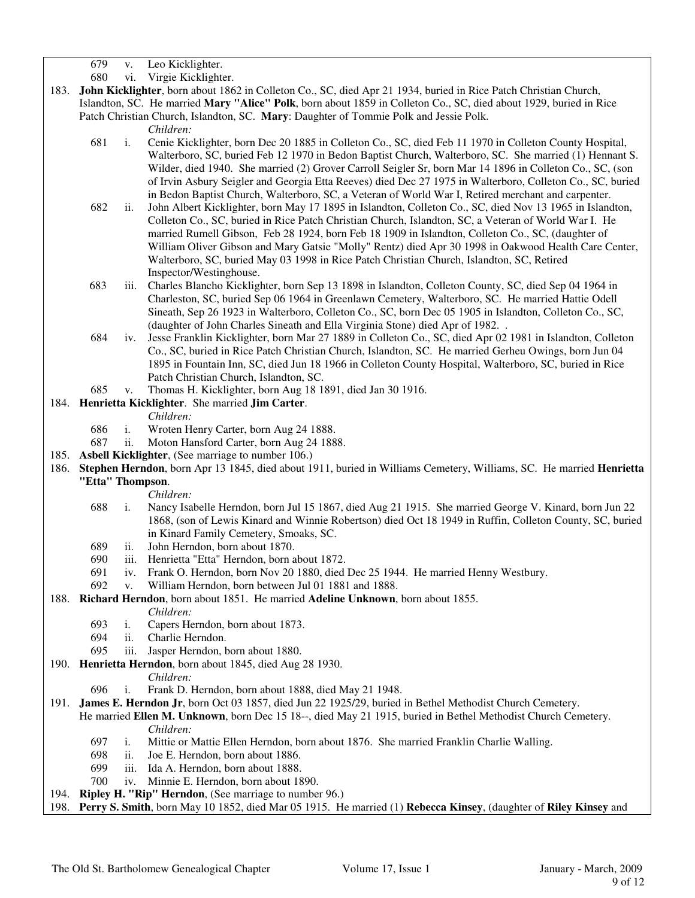679 v. Leo Kicklighter.

- 680 vi. Virgie Kicklighter.
- 183. **John Kicklighter**, born about 1862 in Colleton Co., SC, died Apr 21 1934, buried in Rice Patch Christian Church, Islandton, SC. He married **Mary "Alice" Polk**, born about 1859 in Colleton Co., SC, died about 1929, buried in Rice Patch Christian Church, Islandton, SC. **Mary**: Daughter of Tommie Polk and Jessie Polk.

*Children:*

- 681 i. Cenie Kicklighter, born Dec 20 1885 in Colleton Co., SC, died Feb 11 1970 in Colleton County Hospital, Walterboro, SC, buried Feb 12 1970 in Bedon Baptist Church, Walterboro, SC. She married (1) Hennant S. Wilder, died 1940. She married (2) Grover Carroll Seigler Sr, born Mar 14 1896 in Colleton Co., SC, (son of Irvin Asbury Seigler and Georgia Etta Reeves) died Dec 27 1975 in Walterboro, Colleton Co., SC, buried in Bedon Baptist Church, Walterboro, SC, a Veteran of World War I, Retired merchant and carpenter.
- 682 ii. John Albert Kicklighter, born May 17 1895 in Islandton, Colleton Co., SC, died Nov 13 1965 in Islandton, Colleton Co., SC, buried in Rice Patch Christian Church, Islandton, SC, a Veteran of World War I. He married Rumell Gibson, Feb 28 1924, born Feb 18 1909 in Islandton, Colleton Co., SC, (daughter of William Oliver Gibson and Mary Gatsie "Molly" Rentz) died Apr 30 1998 in Oakwood Health Care Center, Walterboro, SC, buried May 03 1998 in Rice Patch Christian Church, Islandton, SC, Retired Inspector/Westinghouse.
- 683 iii. Charles Blancho Kicklighter, born Sep 13 1898 in Islandton, Colleton County, SC, died Sep 04 1964 in Charleston, SC, buried Sep 06 1964 in Greenlawn Cemetery, Walterboro, SC. He married Hattie Odell Sineath, Sep 26 1923 in Walterboro, Colleton Co., SC, born Dec 05 1905 in Islandton, Colleton Co., SC, (daughter of John Charles Sineath and Ella Virginia Stone) died Apr of 1982. .
- 684 iv. Jesse Franklin Kicklighter, born Mar 27 1889 in Colleton Co., SC, died Apr 02 1981 in Islandton, Colleton Co., SC, buried in Rice Patch Christian Church, Islandton, SC. He married Gerheu Owings, born Jun 04 1895 in Fountain Inn, SC, died Jun 18 1966 in Colleton County Hospital, Walterboro, SC, buried in Rice Patch Christian Church, Islandton, SC.
- 685 v. Thomas H. Kicklighter, born Aug 18 1891, died Jan 30 1916.

### 184. **Henrietta Kicklighter**. She married **Jim Carter**.

### *Children:*

- 
- 686 i. Wroten Henry Carter, born Aug 24 1888.<br>687 ii. Moton Hansford Carter, born Aug 24 188 ii. Moton Hansford Carter, born Aug 24 1888.
- 185. **Asbell Kicklighter**, (See marriage to number 106.)
- 186. **Stephen Herndon**, born Apr 13 1845, died about 1911, buried in Williams Cemetery, Williams, SC. He married **Henrietta "Etta" Thompson**.
	- *Children:*
	- 688 i. Nancy Isabelle Herndon, born Jul 15 1867, died Aug 21 1915. She married George V. Kinard, born Jun 22 1868, (son of Lewis Kinard and Winnie Robertson) died Oct 18 1949 in Ruffin, Colleton County, SC, buried in Kinard Family Cemetery, Smoaks, SC.
	- 689 ii. John Herndon, born about 1870.
	- 690 iii. Henrietta "Etta" Herndon, born about 1872.
	- 691 iv. Frank O. Herndon, born Nov 20 1880, died Dec 25 1944. He married Henny Westbury.
	- 692 v. William Herndon, born between Jul 01 1881 and 1888.
- 188. **Richard Herndon**, born about 1851. He married **Adeline Unknown**, born about 1855.
	- *Children:*
	- 693 i. Capers Herndon, born about 1873.
	- 694 ii. Charlie Herndon.
	- 695 iii. Jasper Herndon, born about 1880.
- 190. **Henrietta Herndon**, born about 1845, died Aug 28 1930.
	- *Children:*
	- 696 i. Frank D. Herndon, born about 1888, died May 21 1948.
- 191. **James E. Herndon Jr**, born Oct 03 1857, died Jun 22 1925/29, buried in Bethel Methodist Church Cemetery.
	- He married **Ellen M. Unknown**, born Dec 15 18--, died May 21 1915, buried in Bethel Methodist Church Cemetery. *Children:*
		- 697 i. Mittie or Mattie Ellen Herndon, born about 1876. She married Franklin Charlie Walling.
		- 698 ii. Joe E. Herndon, born about 1886.
		- 699 iii. Ida A. Herndon, born about 1888.
		- 700 iv. Minnie E. Herndon, born about 1890.
- 194. **Ripley H. "Rip" Herndon**, (See marriage to number 96.)
- 198. **Perry S. Smith**, born May 10 1852, died Mar 05 1915. He married (1) **Rebecca Kinsey**, (daughter of **Riley Kinsey** and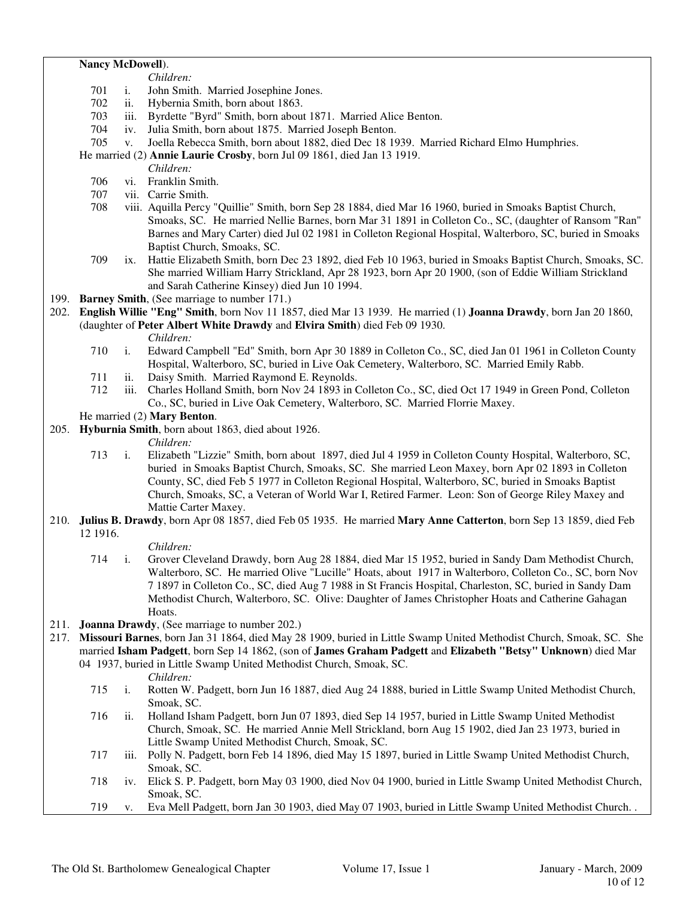### **Nancy McDowell**).

- *Children:* 701 i. John Smith. Married Josephine Jones.
- 702 ii. Hybernia Smith, born about 1863.
- 703 iii. Byrdette "Byrd" Smith, born about 1871. Married Alice Benton.
- 704 iv. Julia Smith, born about 1875. Married Joseph Benton.
- 705 v. Joella Rebecca Smith, born about 1882, died Dec 18 1939. Married Richard Elmo Humphries.

He married (2) **Annie Laurie Crosby**, born Jul 09 1861, died Jan 13 1919.

*Children:*

- 706 vi. Franklin Smith.
- 707 vii. Carrie Smith.
- viii. Aquilla Percy "Quillie" Smith, born Sep 28 1884, died Mar 16 1960, buried in Smoaks Baptist Church, Smoaks, SC. He married Nellie Barnes, born Mar 31 1891 in Colleton Co., SC, (daughter of Ransom "Ran" Barnes and Mary Carter) died Jul 02 1981 in Colleton Regional Hospital, Walterboro, SC, buried in Smoaks Baptist Church, Smoaks, SC.
- 709 ix. Hattie Elizabeth Smith, born Dec 23 1892, died Feb 10 1963, buried in Smoaks Baptist Church, Smoaks, SC. She married William Harry Strickland, Apr 28 1923, born Apr 20 1900, (son of Eddie William Strickland and Sarah Catherine Kinsey) died Jun 10 1994.
- 199. **Barney Smith**, (See marriage to number 171.)
- 202. **English Willie "Eng" Smith**, born Nov 11 1857, died Mar 13 1939. He married (1) **Joanna Drawdy**, born Jan 20 1860, (daughter of **Peter Albert White Drawdy** and **Elvira Smith**) died Feb 09 1930.
	- *Children:*
	- 710 i. Edward Campbell "Ed" Smith, born Apr 30 1889 in Colleton Co., SC, died Jan 01 1961 in Colleton County Hospital, Walterboro, SC, buried in Live Oak Cemetery, Walterboro, SC. Married Emily Rabb.
	- 711 ii. Daisy Smith. Married Raymond E. Reynolds.
	- 712 iii. Charles Holland Smith, born Nov 24 1893 in Colleton Co., SC, died Oct 17 1949 in Green Pond, Colleton Co., SC, buried in Live Oak Cemetery, Walterboro, SC. Married Florrie Maxey.

### He married (2) **Mary Benton**.

205. **Hyburnia Smith**, born about 1863, died about 1926.

*Children:*

- 713 i. Elizabeth "Lizzie" Smith, born about 1897, died Jul 4 1959 in Colleton County Hospital, Walterboro, SC, buried in Smoaks Baptist Church, Smoaks, SC. She married Leon Maxey, born Apr 02 1893 in Colleton County, SC, died Feb 5 1977 in Colleton Regional Hospital, Walterboro, SC, buried in Smoaks Baptist Church, Smoaks, SC, a Veteran of World War I, Retired Farmer. Leon: Son of George Riley Maxey and Mattie Carter Maxey.
- 210. **Julius B. Drawdy**, born Apr 08 1857, died Feb 05 1935. He married **Mary Anne Catterton**, born Sep 13 1859, died Feb 12 1916.

*Children:*

- 714 i. Grover Cleveland Drawdy, born Aug 28 1884, died Mar 15 1952, buried in Sandy Dam Methodist Church, Walterboro, SC. He married Olive "Lucille" Hoats, about 1917 in Walterboro, Colleton Co., SC, born Nov 7 1897 in Colleton Co., SC, died Aug 7 1988 in St Francis Hospital, Charleston, SC, buried in Sandy Dam Methodist Church, Walterboro, SC. Olive: Daughter of James Christopher Hoats and Catherine Gahagan Hoats.
- 211. **Joanna Drawdy**, (See marriage to number 202.)
- 217. **Missouri Barnes**, born Jan 31 1864, died May 28 1909, buried in Little Swamp United Methodist Church, Smoak, SC. She married **Isham Padgett**, born Sep 14 1862, (son of **James Graham Padgett** and **Elizabeth "Betsy" Unknown**) died Mar 04 1937, buried in Little Swamp United Methodist Church, Smoak, SC.

*Children:*

- 715 i. Rotten W. Padgett, born Jun 16 1887, died Aug 24 1888, buried in Little Swamp United Methodist Church, Smoak, SC.
- 716 ii. Holland Isham Padgett, born Jun 07 1893, died Sep 14 1957, buried in Little Swamp United Methodist Church, Smoak, SC. He married Annie Mell Strickland, born Aug 15 1902, died Jan 23 1973, buried in Little Swamp United Methodist Church, Smoak, SC.
- 717 iii. Polly N. Padgett, born Feb 14 1896, died May 15 1897, buried in Little Swamp United Methodist Church, Smoak, SC.
- 718 iv. Elick S. P. Padgett, born May 03 1900, died Nov 04 1900, buried in Little Swamp United Methodist Church, Smoak, SC.
- 719 v. Eva Mell Padgett, born Jan 30 1903, died May 07 1903, buried in Little Swamp United Methodist Church. .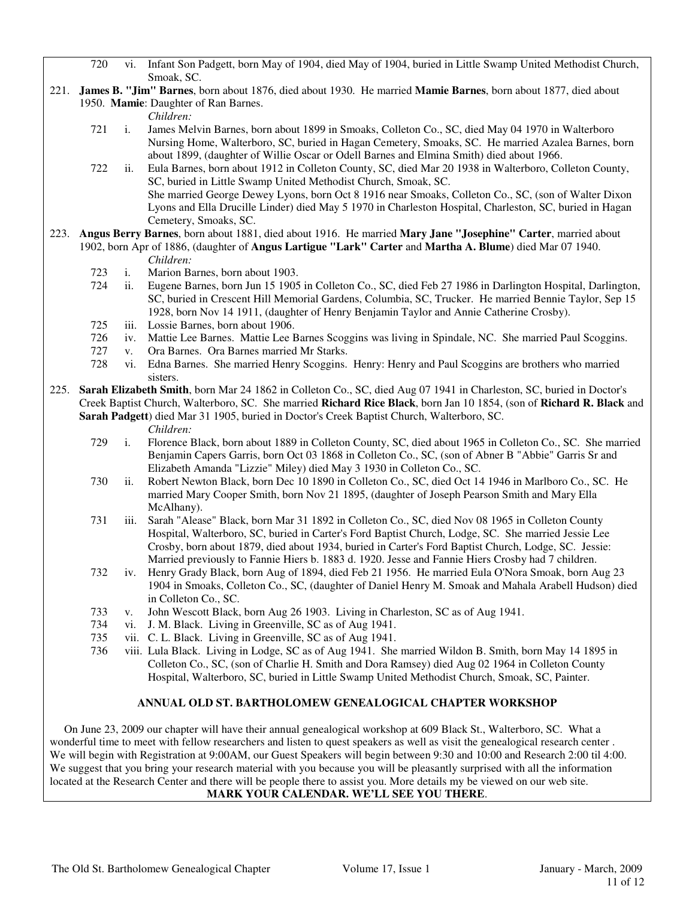- 720 vi. Infant Son Padgett, born May of 1904, died May of 1904, buried in Little Swamp United Methodist Church, Smoak, SC.
- 221. **James B. "Jim" Barnes**, born about 1876, died about 1930. He married **Mamie Barnes**, born about 1877, died about 1950. **Mamie**: Daughter of Ran Barnes.

*Children:*

- 721 i. James Melvin Barnes, born about 1899 in Smoaks, Colleton Co., SC, died May 04 1970 in Walterboro Nursing Home, Walterboro, SC, buried in Hagan Cemetery, Smoaks, SC. He married Azalea Barnes, born about 1899, (daughter of Willie Oscar or Odell Barnes and Elmina Smith) died about 1966.
- 722 ii. Eula Barnes, born about 1912 in Colleton County, SC, died Mar 20 1938 in Walterboro, Colleton County, SC, buried in Little Swamp United Methodist Church, Smoak, SC. She married George Dewey Lyons, born Oct 8 1916 near Smoaks, Colleton Co., SC, (son of Walter Dixon Lyons and Ella Drucille Linder) died May 5 1970 in Charleston Hospital, Charleston, SC, buried in Hagan Cemetery, Smoaks, SC.
- 223. **Angus Berry Barnes**, born about 1881, died about 1916. He married **Mary Jane "Josephine" Carter**, married about 1902, born Apr of 1886, (daughter of **Angus Lartigue "Lark" Carter** and **Martha A. Blume**) died Mar 07 1940. *Children:*
	- 723 i. Marion Barnes, born about 1903.
	- 724 ii. Eugene Barnes, born Jun 15 1905 in Colleton Co., SC, died Feb 27 1986 in Darlington Hospital, Darlington, SC, buried in Crescent Hill Memorial Gardens, Columbia, SC, Trucker. He married Bennie Taylor, Sep 15 1928, born Nov 14 1911, (daughter of Henry Benjamin Taylor and Annie Catherine Crosby).
	- 725 iii. Lossie Barnes, born about 1906.
	- 726 iv. Mattie Lee Barnes. Mattie Lee Barnes Scoggins was living in Spindale, NC. She married Paul Scoggins.
	- 727 v. Ora Barnes. Ora Barnes married Mr Starks.
	- vi. Edna Barnes. She married Henry Scoggins. Henry: Henry and Paul Scoggins are brothers who married sisters.
- 225. **Sarah Elizabeth Smith**, born Mar 24 1862 in Colleton Co., SC, died Aug 07 1941 in Charleston, SC, buried in Doctor's Creek Baptist Church, Walterboro, SC. She married **Richard Rice Black**, born Jan 10 1854, (son of **Richard R. Black** and **Sarah Padgett**) died Mar 31 1905, buried in Doctor's Creek Baptist Church, Walterboro, SC.
	-
	- *Children:*<br>729 *i.* Florence I i. Florence Black, born about 1889 in Colleton County, SC, died about 1965 in Colleton Co., SC. She married Benjamin Capers Garris, born Oct 03 1868 in Colleton Co., SC, (son of Abner B "Abbie" Garris Sr and Elizabeth Amanda "Lizzie" Miley) died May 3 1930 in Colleton Co., SC.
	- 730 ii. Robert Newton Black, born Dec 10 1890 in Colleton Co., SC, died Oct 14 1946 in Marlboro Co., SC. He married Mary Cooper Smith, born Nov 21 1895, (daughter of Joseph Pearson Smith and Mary Ella McAlhany).
	- 731 iii. Sarah "Alease" Black, born Mar 31 1892 in Colleton Co., SC, died Nov 08 1965 in Colleton County Hospital, Walterboro, SC, buried in Carter's Ford Baptist Church, Lodge, SC. She married Jessie Lee Crosby, born about 1879, died about 1934, buried in Carter's Ford Baptist Church, Lodge, SC. Jessie: Married previously to Fannie Hiers b. 1883 d. 1920. Jesse and Fannie Hiers Crosby had 7 children.
	- 732 iv. Henry Grady Black, born Aug of 1894, died Feb 21 1956. He married Eula O'Nora Smoak, born Aug 23 1904 in Smoaks, Colleton Co., SC, (daughter of Daniel Henry M. Smoak and Mahala Arabell Hudson) died in Colleton Co., SC.
	- 733 v. John Wescott Black, born Aug 26 1903. Living in Charleston, SC as of Aug 1941.
	- 734 vi. J. M. Black. Living in Greenville, SC as of Aug 1941.
	- 735 vii. C. L. Black. Living in Greenville, SC as of Aug 1941.
	- 736 viii. Lula Black. Living in Lodge, SC as of Aug 1941. She married Wildon B. Smith, born May 14 1895 in Colleton Co., SC, (son of Charlie H. Smith and Dora Ramsey) died Aug 02 1964 in Colleton County Hospital, Walterboro, SC, buried in Little Swamp United Methodist Church, Smoak, SC, Painter.

### **ANNUAL OLD ST. BARTHOLOMEW GENEALOGICAL CHAPTER WORKSHOP**

 On June 23, 2009 our chapter will have their annual genealogical workshop at 609 Black St., Walterboro, SC. What a wonderful time to meet with fellow researchers and listen to quest speakers as well as visit the genealogical research center . We will begin with Registration at 9:00AM, our Guest Speakers will begin between 9:30 and 10:00 and Research 2:00 til 4:00. We suggest that you bring your research material with you because you will be pleasantly surprised with all the information located at the Research Center and there will be people there to assist you. More details my be viewed on our web site. **MARK YOUR CALENDAR. WE'LL SEE YOU THERE**.